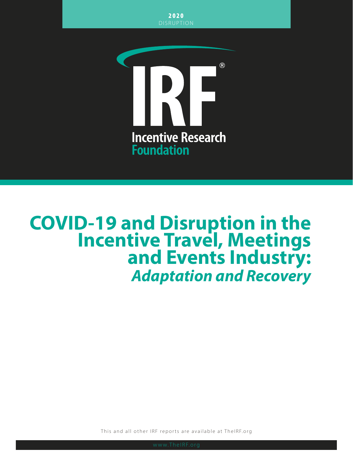2020 DISRUPTION



# **COVID-19 and Disruption in the Incentive Travel, Meetings and Events Industry:** *Adaptation and Recovery*

This and all other IRF reports are available at TheIRF.org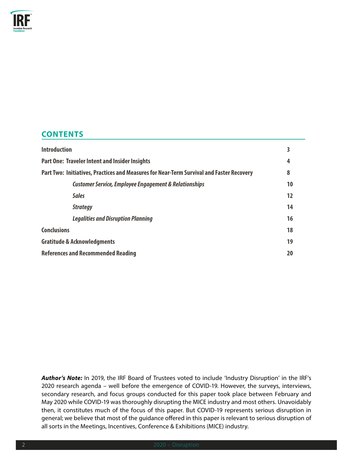

# **CONTENTS**

| <b>Introduction</b>                                                                      |           |  |
|------------------------------------------------------------------------------------------|-----------|--|
| <b>Part One: Traveler Intent and Insider Insights</b>                                    |           |  |
| Part Two: Initiatives, Practices and Measures for Near-Term Survival and Faster Recovery | 8         |  |
| <b>Customer Service, Employee Engagement &amp; Relationships</b>                         | 10        |  |
| <b>Sales</b>                                                                             | 12        |  |
| <b>Strategy</b>                                                                          | 14        |  |
| <b>Legalities and Disruption Planning</b>                                                | 16        |  |
| <b>Conclusions</b>                                                                       | 18        |  |
| <b>Gratitude &amp; Acknowledgments</b>                                                   | 19        |  |
| <b>References and Recommended Reading</b>                                                | <b>20</b> |  |

*Author's Note:* In 2019, the IRF Board of Trustees voted to include 'Industry Disruption' in the IRF's 2020 research agenda – well before the emergence of COVID-19. However, the surveys, interviews, secondary research, and focus groups conducted for this paper took place between February and May 2020 while COVID-19 was thoroughly disrupting the MICE industry and most others. Unavoidably then, it constitutes much of the focus of this paper. But COVID-19 represents serious disruption in general; we believe that most of the guidance offered in this paper is relevant to serious disruption of all sorts in the Meetings, Incentives, Conference & Exhibitions (MICE) industry.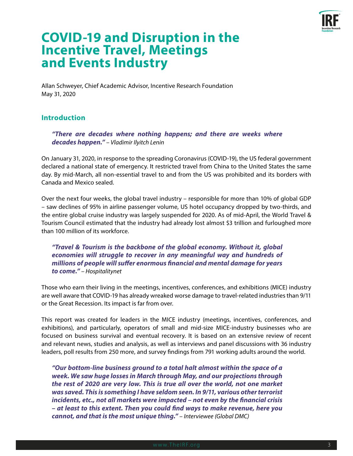

# **COVID-19 and Disruption in the Incentive Travel, Meetings and Events Industry**

Allan Schweyer, Chief Academic Advisor, Incentive Research Foundation May 31, 2020

# **Introduction**

*"There are decades where nothing happens; and there are weeks where decades happen." – Vladimir Ilyitch Lenin*

On January 31, 2020, in response to the spreading Coronavirus (COVID-19), the US federal government declared a national state of emergency. It restricted travel from China to the United States the same day. By mid-March, all non-essential travel to and from the US was prohibited and its borders with Canada and Mexico sealed.

Over the next four weeks, the global travel industry – responsible for more than 10% of global GDP – saw declines of 95% in airline passenger volume, US hotel occupancy dropped by two-thirds, and the entire global cruise industry was largely suspended for 2020. As of mid-April, the World Travel & Tourism Council estimated that the industry had already lost almost \$3 trillion and furloughed more than 100 million of its workforce.

*"Travel & Tourism is the backbone of the global economy. Without it, global economies will struggle to recover in any meaningful way and hundreds of millions of people will suffer enormous financial and mental damage for years to come." – Hospitalitynet*

Those who earn their living in the meetings, incentives, conferences, and exhibitions (MICE) industry are well aware that COVID-19 has already wreaked worse damage to travel-related industries than 9/11 or the Great Recession. Its impact is far from over.

This report was created for leaders in the MICE industry (meetings, incentives, conferences, and exhibitions), and particularly, operators of small and mid-size MICE-industry businesses who are focused on business survival and eventual recovery. It is based on an extensive review of recent and relevant news, studies and analysis, as well as interviews and panel discussions with 36 industry leaders, poll results from 250 more, and survey findings from 791 working adults around the world.

*"Our bottom-line business ground to a total halt almost within the space of a week. We saw huge losses in March through May, and our projections through the rest of 2020 are very low. This is true all over the world, not one market was saved. This is something I have seldom seen. In 9/11, various other terrorist incidents, etc., not all markets were impacted – not even by the financial crisis – at least to this extent. Then you could find ways to make revenue, here you cannot, and that is the most unique thing." – Interviewee (Global DMC)*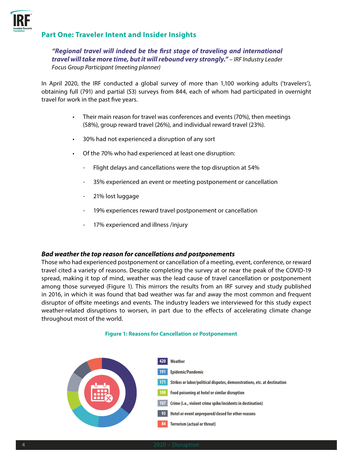

# **Part One: Traveler Intent and Insider Insights**

#### *"Regional travel will indeed be the first stage of traveling and international travel will take more time, but it will rebound very strongly." – IRF Industry Leader Focus Group Participant (meeting planner)*

In April 2020, the IRF conducted a global survey of more than 1,100 working adults ('travelers'), obtaining full (791) and partial (53) surveys from 844, each of whom had participated in overnight travel for work in the past five years.

- Their main reason for travel was conferences and events (70%), then meetings (58%), group reward travel (26%), and individual reward travel (23%).
- 30% had not experienced a disruption of any sort
- Of the 70% who had experienced at least one disruption:
	- Flight delays and cancellations were the top disruption at 54%
	- 35% experienced an event or meeting postponement or cancellation
	- 21% lost luggage
	- 19% experiences reward travel postponement or cancellation
	- 17% experienced and illness /injury

#### *Bad weather the top reason for cancellations and postponements*

Those who had experienced postponement or cancellation of a meeting, event, conference, or reward travel cited a variety of reasons. Despite completing the survey at or near the peak of the COVID-19 spread, making it top of mind, weather was the lead cause of travel cancellation or postponement among those surveyed (Figure 1). This mirrors the results from an IRF survey and study published in 2016, in which it was found that bad weather was far and away the most common and frequent disruptor of offsite meetings and events. The industry leaders we interviewed for this study expect weather-related disruptions to worsen, in part due to the effects of accelerating climate change throughout most of the world.

#### **Figure 1: Reasons for Cancellation or Postponement**

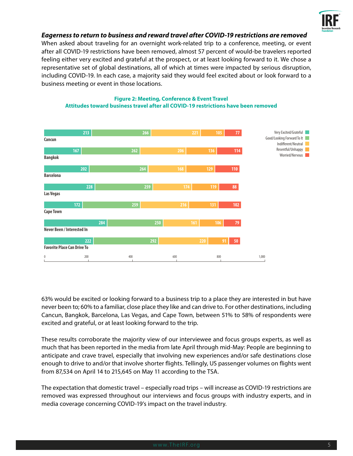

#### *Eagerness to return to business and reward travel after COVID-19 restrictions are removed*

When asked about traveling for an overnight work-related trip to a conference, meeting, or event after all COVID-19 restrictions have been removed, almost 57 percent of would-be travelers reported feeling either very excited and grateful at the prospect, or at least looking forward to it. We chose a representative set of global destinations, all of which at times were impacted by serious disruption, including COVID-19. In each case, a majority said they would feel excited about or look forward to a business meeting or event in those locations.



#### **Figure 2: Meeting, Conference & Event Travel Attitudes toward business travel after all COVID-19 restrictions have been removed**

63% would be excited or looking forward to a business trip to a place they are interested in but have never been to; 60% to a familiar, close place they like and can drive to. For other destinations, including Cancun, Bangkok, Barcelona, Las Vegas, and Cape Town, between 51% to 58% of respondents were excited and grateful, or at least looking forward to the trip.

These results corroborate the majority view of our interviewee and focus groups experts, as well as much that has been reported in the media from late April through mid-May: People are beginning to anticipate and crave travel, especially that involving new experiences and/or safe destinations close enough to drive to and/or that involve shorter flights. Tellingly, US passenger volumes on flights went from 87,534 on April 14 to 215,645 on May 11 according to the TSA.

The expectation that domestic travel – especially road trips – will increase as COVID-19 restrictions are removed was expressed throughout our interviews and focus groups with industry experts, and in media coverage concerning COVID-19's impact on the travel industry.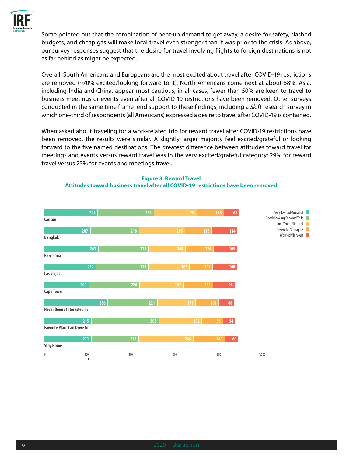

Some pointed out that the combination of pent-up demand to get away, a desire for safety, slashed budgets, and cheap gas will make local travel even stronger than it was prior to the crisis. As above, our survey responses suggest that the desire for travel involving flights to foreign destinations is not as far behind as might be expected.

Overall, South Americans and Europeans are the most excited about travel after COVID-19 restrictions are removed (~70% excited/looking forward to it). North Americans come next at about 58%. Asia, including India and China, appear most cautious; in all cases, fewer than 50% are keen to travel to business meetings or events even after all COVID-19 restrictions have been removed. Other surveys conducted in the same time frame lend support to these findings, including a *Skift* research survey in which one-third of respondents (all Americans) expressed a desire to travel after COVID-19 is contained.

When asked about traveling for a work-related trip for reward travel after COVID-19 restrictions have been removed, the results were similar. A slightly larger majority feel excited/grateful or looking forward to the five named destinations. The greatest difference between attitudes toward travel for meetings and events versus reward travel was in the very excited/grateful category: 29% for reward travel versus 23% for events and meetings travel.

#### **Figure 3: Reward Travel**

#### **Attitudes toward business travel after all COVID-19 restrictions have been removed**

| Cancun                             | 241 | 251 | 193 | 118 | 68       | Very Excited/Grateful<br>Good/Looking Forward To It<br>Indifferent/Neutral |
|------------------------------------|-----|-----|-----|-----|----------|----------------------------------------------------------------------------|
| 207                                |     | 218 | 205 | 118 | 114      | Resentful/Unhappy                                                          |
| <b>Bangkok</b>                     |     |     |     |     |          | Worried/Nervous                                                            |
|                                    | 243 | 225 | 164 | 124 | $105$    |                                                                            |
| <b>Barcelona</b>                   |     |     |     |     |          |                                                                            |
|                                    | 232 | 236 | 183 | 102 | 108      |                                                                            |
| Las Vegas                          |     |     |     |     |          |                                                                            |
| 200                                |     | 226 | 197 | 131 | 96       |                                                                            |
| <b>Cape Town</b>                   |     |     |     |     |          |                                                                            |
|                                    | 286 | 221 | 171 | 102 | 68       |                                                                            |
| Never Been / Interested In         |     |     |     |     |          |                                                                            |
| 215                                |     | 303 | 192 | 93  | 54       |                                                                            |
| <b>Favorite Place Can Drive To</b> |     |     |     |     |          |                                                                            |
| 211                                |     | 212 | 244 | 140 | $\bf 60$ |                                                                            |
| <b>Stay Home</b>                   |     |     |     |     |          |                                                                            |
| 200<br>$\bf{0}$                    |     | 400 | 600 | 800 |          | 1,000                                                                      |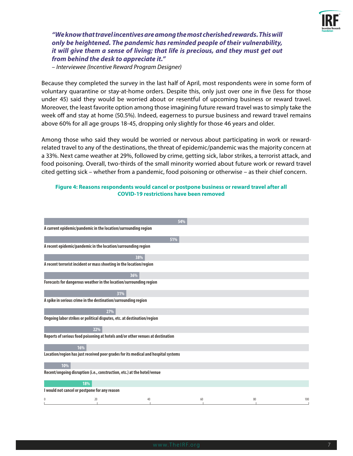

### *"We know that travel incentives are among the most cherished rewards. This will only be heightened. The pandemic has reminded people of their vulnerability, it will give them a sense of living; that life is precious, and they must get out from behind the desk to appreciate it."*

*– Interviewee (Incentive Reward Program Designer)*

Because they completed the survey in the last half of April, most respondents were in some form of voluntary quarantine or stay-at-home orders. Despite this, only just over one in five (less for those under 45) said they would be worried about or resentful of upcoming business or reward travel. Moreover, the least favorite option among those imagining future reward travel was to simply take the week off and stay at home (50.5%). Indeed, eagerness to pursue business and reward travel remains above 60% for all age groups 18-45, dropping only slightly for those 46 years and older.

Among those who said they would be worried or nervous about participating in work or rewardrelated travel to any of the destinations, the threat of epidemic/pandemic was the majority concern at a 33%. Next came weather at 29%, followed by crime, getting sick, labor strikes, a terrorist attack, and food poisoning. Overall, two-thirds of the small minority worried about future work or reward travel cited getting sick – whether from a pandemic, food poisoning or otherwise – as their chief concern.

#### **Figure 4: Reasons respondents would cancel or postpone business or reward travel after all COVID-19 restrictions have been removed**

| 54%                                                                                |     |
|------------------------------------------------------------------------------------|-----|
| A current epidemic/pandemic in the location/surrounding region                     |     |
| 51%                                                                                |     |
| A recent epidemic/pandemic in the location/surrounding region                      |     |
| 38%                                                                                |     |
| A recent terrorist incident or mass shooting in the location/region                |     |
| 36%                                                                                |     |
| Forecasts for dangerous weather in the location/surrounding region                 |     |
| 31%                                                                                |     |
| A spike in serious crime in the destination/surrounding region                     |     |
| 27%                                                                                |     |
| Ongoing labor strikes or political disputes, etc. at destination/region            |     |
| 22%                                                                                |     |
| Reports of serious food poisoning at hotels and/or other venues at destination     |     |
| 16%                                                                                |     |
| Location/region has just received poor grades for its medical and hospital systems |     |
| 10%                                                                                |     |
| Recent/ongoing disruption (i.e., construction, etc.) at the hotel/venue            |     |
| 18%                                                                                |     |
| I would not cancel or postpone for any reason                                      |     |
| 0<br>20<br>40<br>60<br>80                                                          | 100 |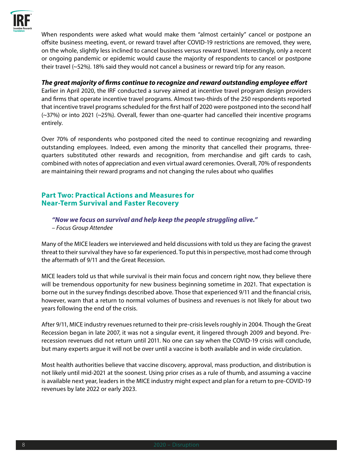

When respondents were asked what would make them "almost certainly" cancel or postpone an offsite business meeting, event, or reward travel after COVID-19 restrictions are removed, they were, on the whole, slightly less inclined to cancel business versus reward travel. Interestingly, only a recent or ongoing pandemic or epidemic would cause the majority of respondents to cancel or postpone their travel (~52%). 18% said they would not cancel a business or reward trip for any reason.

#### *The great majority of firms continue to recognize and reward outstanding employee effort*

Earlier in April 2020, the IRF conducted a survey aimed at incentive travel program design providers and firms that operate incentive travel programs. Almost two-thirds of the 250 respondents reported that incentive travel programs scheduled for the first half of 2020 were postponed into the second half (~37%) or into 2021 (~25%). Overall, fewer than one-quarter had cancelled their incentive programs entirely.

Over 70% of respondents who postponed cited the need to continue recognizing and rewarding outstanding employees. Indeed, even among the minority that cancelled their programs, threequarters substituted other rewards and recognition, from merchandise and gift cards to cash, combined with notes of appreciation and even virtual award ceremonies. Overall, 70% of respondents are maintaining their reward programs and not changing the rules about who qualifies

# **Part Two: Practical Actions and Measures for Near-Term Survival and Faster Recovery**

*"Now we focus on survival and help keep the people struggling alive." – Focus Group Attendee* 

Many of the MICE leaders we interviewed and held discussions with told us they are facing the gravest threat to their survival they have so far experienced. To put this in perspective, most had come through the aftermath of 9/11 and the Great Recession.

MICE leaders told us that while survival is their main focus and concern right now, they believe there will be tremendous opportunity for new business beginning sometime in 2021. That expectation is borne out in the survey findings described above. Those that experienced 9/11 and the financial crisis, however, warn that a return to normal volumes of business and revenues is not likely for about two years following the end of the crisis.

After 9/11, MICE industry revenues returned to their pre-crisis levels roughly in 2004. Though the Great Recession began in late 2007, it was not a singular event, it lingered through 2009 and beyond. Prerecession revenues did not return until 2011. No one can say when the COVID-19 crisis will conclude, but many experts argue it will not be over until a vaccine is both available and in wide circulation.

Most health authorities believe that vaccine discovery, approval, mass production, and distribution is not likely until mid-2021 at the soonest. Using prior crises as a rule of thumb, and assuming a vaccine is available next year, leaders in the MICE industry might expect and plan for a return to pre-COVID-19 revenues by late 2022 or early 2023.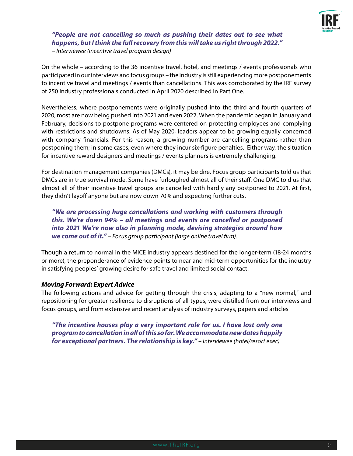

#### *"People are not cancelling so much as pushing their dates out to see what happens, but I think the full recovery from this will take us right through 2022." – Interviewee (incentive travel program design)*

On the whole – according to the 36 incentive travel, hotel, and meetings / events professionals who participated in our interviews and focus groups – the industry is still experiencing more postponements to incentive travel and meetings / events than cancellations. This was corroborated by the IRF survey of 250 industry professionals conducted in April 2020 described in Part One.

Nevertheless, where postponements were originally pushed into the third and fourth quarters of 2020, most are now being pushed into 2021 and even 2022. When the pandemic began in January and February, decisions to postpone programs were centered on protecting employees and complying with restrictions and shutdowns. As of May 2020, leaders appear to be growing equally concerned with company financials. For this reason, a growing number are cancelling programs rather than postponing them; in some cases, even where they incur six-figure penalties. Either way, the situation for incentive reward designers and meetings / events planners is extremely challenging.

For destination management companies (DMCs), it may be dire. Focus group participants told us that DMCs are in true survival mode. Some have furloughed almost all of their staff. One DMC told us that almost all of their incentive travel groups are cancelled with hardly any postponed to 2021. At first, they didn't layoff anyone but are now down 70% and expecting further cuts.

*"We are processing huge cancellations and working with customers through this. We're down 94% – all meetings and events are cancelled or postponed into 2021 We're now also in planning mode, devising strategies around how we come out of it." – Focus group participant (large online travel firm).*

Though a return to normal in the MICE industry appears destined for the longer-term (18-24 months or more), the preponderance of evidence points to near and mid-term opportunities for the industry in satisfying peoples' growing desire for safe travel and limited social contact.

#### *Moving Forward: Expert Advice*

The following actions and advice for getting through the crisis, adapting to a "new normal," and repositioning for greater resilience to disruptions of all types, were distilled from our interviews and focus groups, and from extensive and recent analysis of industry surveys, papers and articles

*"The incentive houses play a very important role for us. I have lost only one program to cancellation in all of this so far. We accommodate new dates happily for exceptional partners. The relationship is key." – Interviewee (hotel/resort exec)*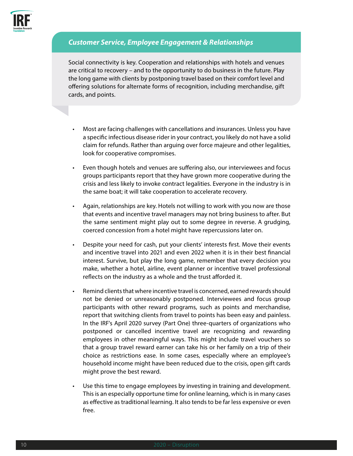

# *Customer Service, Employee Engagement & Relationships*

Social connectivity is key. Cooperation and relationships with hotels and venues are critical to recovery – and to the opportunity to do business in the future. Play the long game with clients by postponing travel based on their comfort level and offering solutions for alternate forms of recognition, including merchandise, gift cards, and points.

- Most are facing challenges with cancellations and insurances. Unless you have a specific infectious disease rider in your contract, you likely do not have a solid claim for refunds. Rather than arguing over force majeure and other legalities, look for cooperative compromises.
- Even though hotels and venues are suffering also, our interviewees and focus groups participants report that they have grown more cooperative during the crisis and less likely to invoke contract legalities. Everyone in the industry is in the same boat; it will take cooperation to accelerate recovery.
- Again, relationships are key. Hotels not willing to work with you now are those that events and incentive travel managers may not bring business to after. But the same sentiment might play out to some degree in reverse. A grudging, coerced concession from a hotel might have repercussions later on.
- Despite your need for cash, put your clients' interests first. Move their events and incentive travel into 2021 and even 2022 when it is in their best financial interest. Survive, but play the long game, remember that every decision you make, whether a hotel, airline, event planner or incentive travel professional reflects on the industry as a whole and the trust afforded it.
- Remind clients that where incentive travel is concerned, earned rewards should not be denied or unreasonably postponed. Interviewees and focus group participants with other reward programs, such as points and merchandise, report that switching clients from travel to points has been easy and painless. In the IRF's April 2020 survey (Part One) three-quarters of organizations who postponed or cancelled incentive travel are recognizing and rewarding employees in other meaningful ways. This might include travel vouchers so that a group travel reward earner can take his or her family on a trip of their choice as restrictions ease. In some cases, especially where an employee's household income might have been reduced due to the crisis, open gift cards might prove the best reward.
- Use this time to engage employees by investing in training and development. This is an especially opportune time for online learning, which is in many cases as effective as traditional learning. It also tends to be far less expensive or even free.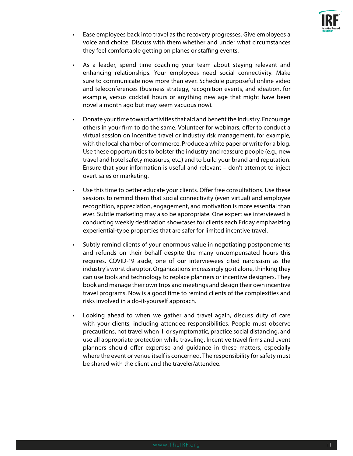

- Ease employees back into travel as the recovery progresses. Give employees a voice and choice. Discuss with them whether and under what circumstances they feel comfortable getting on planes or staffing events.
- As a leader, spend time coaching your team about staying relevant and enhancing relationships. Your employees need social connectivity. Make sure to communicate now more than ever. Schedule purposeful online video and teleconferences (business strategy, recognition events, and ideation, for example, versus cocktail hours or anything new age that might have been novel a month ago but may seem vacuous now).
- Donate your time toward activities that aid and benefit the industry. Encourage others in your firm to do the same. Volunteer for webinars, offer to conduct a virtual session on incentive travel or industry risk management, for example, with the local chamber of commerce. Produce a white paper or write for a blog. Use these opportunities to bolster the industry and reassure people (e.g., new travel and hotel safety measures, etc.) and to build your brand and reputation. Ensure that your information is useful and relevant – don't attempt to inject overt sales or marketing.
- Use this time to better educate your clients. Offer free consultations. Use these sessions to remind them that social connectivity (even virtual) and employee recognition, appreciation, engagement, and motivation is more essential than ever. Subtle marketing may also be appropriate. One expert we interviewed is conducting weekly destination showcases for clients each Friday emphasizing experiential-type properties that are safer for limited incentive travel.
- Subtly remind clients of your enormous value in negotiating postponements and refunds on their behalf despite the many uncompensated hours this requires. COVID-19 aside, one of our interviewees cited narcissism as the industry's worst disruptor. Organizations increasingly go it alone, thinking they can use tools and technology to replace planners or incentive designers. They book and manage their own trips and meetings and design their own incentive travel programs. Now is a good time to remind clients of the complexities and risks involved in a do-it-yourself approach.
- Looking ahead to when we gather and travel again, discuss duty of care with your clients, including attendee responsibilities. People must observe precautions, not travel when ill or symptomatic, practice social distancing, and use all appropriate protection while traveling. Incentive travel firms and event planners should offer expertise and guidance in these matters, especially where the event or venue itself is concerned. The responsibility for safety must be shared with the client and the traveler/attendee.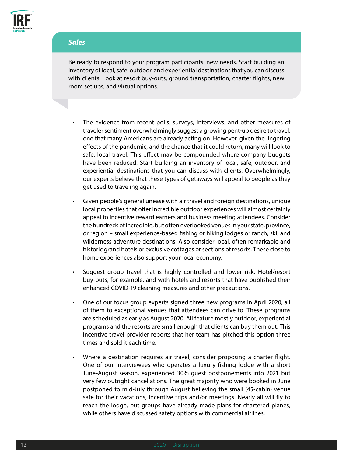

#### *Sales*

Be ready to respond to your program participants' new needs. Start building an inventory of local, safe, outdoor, and experiential destinations that you can discuss with clients. Look at resort buy-outs, ground transportation, charter flights, new room set ups, and virtual options.

- The evidence from recent polls, surveys, interviews, and other measures of traveler sentiment overwhelmingly suggest a growing pent-up desire to travel, one that many Americans are already acting on. However, given the lingering effects of the pandemic, and the chance that it could return, many will look to safe, local travel. This effect may be compounded where company budgets have been reduced. Start building an inventory of local, safe, outdoor, and experiential destinations that you can discuss with clients. Overwhelmingly, our experts believe that these types of getaways will appeal to people as they get used to traveling again.
- Given people's general unease with air travel and foreign destinations, unique local properties that offer incredible outdoor experiences will almost certainly appeal to incentive reward earners and business meeting attendees. Consider the hundreds of incredible, but often overlooked venues in your state, province, or region – small experience-based fishing or hiking lodges or ranch, ski, and wilderness adventure destinations. Also consider local, often remarkable and historic grand hotels or exclusive cottages or sections of resorts. These close to home experiences also support your local economy.
- Suggest group travel that is highly controlled and lower risk. Hotel/resort buy-outs, for example, and with hotels and resorts that have published their enhanced COVID-19 cleaning measures and other precautions.
- One of our focus group experts signed three new programs in April 2020, all of them to exceptional venues that attendees can drive to. These programs are scheduled as early as August 2020. All feature mostly outdoor, experiential programs and the resorts are small enough that clients can buy them out. This incentive travel provider reports that her team has pitched this option three times and sold it each time.
- Where a destination requires air travel, consider proposing a charter flight. One of our interviewees who operates a luxury fishing lodge with a short June-August season, experienced 30% guest postponements into 2021 but very few outright cancellations. The great majority who were booked in June postponed to mid-July through August believing the small (45-cabin) venue safe for their vacations, incentive trips and/or meetings. Nearly all will fly to reach the lodge, but groups have already made plans for chartered planes, while others have discussed safety options with commercial airlines.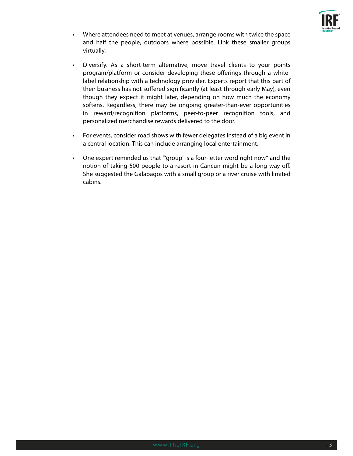

- Where attendees need to meet at venues, arrange rooms with twice the space and half the people, outdoors where possible. Link these smaller groups virtually.
- Diversify. As a short-term alternative, move travel clients to your points program/platform or consider developing these offerings through a whitelabel relationship with a technology provider. Experts report that this part of their business has not suffered significantly (at least through early May), even though they expect it might later, depending on how much the economy softens. Regardless, there may be ongoing greater-than-ever opportunities in reward/recognition platforms, peer-to-peer recognition tools, and personalized merchandise rewards delivered to the door.
- For events, consider road shows with fewer delegates instead of a big event in a central location. This can include arranging local entertainment.
- One expert reminded us that "'group' is a four-letter word right now" and the notion of taking 500 people to a resort in Cancun might be a long way off. She suggested the Galapagos with a small group or a river cruise with limited cabins.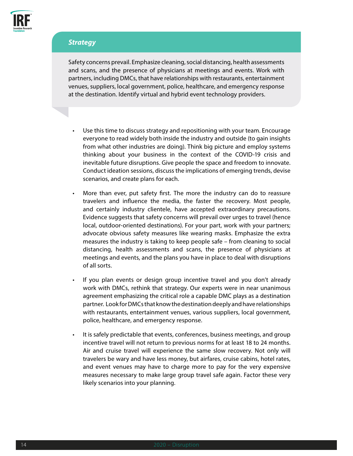

# *Strategy*

Safety concerns prevail. Emphasize cleaning, social distancing, health assessments and scans, and the presence of physicians at meetings and events. Work with partners, including DMCs, that have relationships with restaurants, entertainment venues, suppliers, local government, police, healthcare, and emergency response at the destination. Identify virtual and hybrid event technology providers.

- Use this time to discuss strategy and repositioning with your team. Encourage everyone to read widely both inside the industry and outside (to gain insights from what other industries are doing). Think big picture and employ systems thinking about your business in the context of the COVID-19 crisis and inevitable future disruptions. Give people the space and freedom to innovate. Conduct ideation sessions, discuss the implications of emerging trends, devise scenarios, and create plans for each.
- More than ever, put safety first. The more the industry can do to reassure travelers and influence the media, the faster the recovery. Most people, and certainly industry clientele, have accepted extraordinary precautions. Evidence suggests that safety concerns will prevail over urges to travel (hence local, outdoor-oriented destinations). For your part, work with your partners; advocate obvious safety measures like wearing masks. Emphasize the extra measures the industry is taking to keep people safe – from cleaning to social distancing, health assessments and scans, the presence of physicians at meetings and events, and the plans you have in place to deal with disruptions of all sorts.
- If you plan events or design group incentive travel and you don't already work with DMCs, rethink that strategy. Our experts were in near unanimous agreement emphasizing the critical role a capable DMC plays as a destination partner. Look for DMCs that know the destination deeply and have relationships with restaurants, entertainment venues, various suppliers, local government, police, healthcare, and emergency response.
- It is safely predictable that events, conferences, business meetings, and group incentive travel will not return to previous norms for at least 18 to 24 months. Air and cruise travel will experience the same slow recovery. Not only will travelers be wary and have less money, but airfares, cruise cabins, hotel rates, and event venues may have to charge more to pay for the very expensive measures necessary to make large group travel safe again. Factor these very likely scenarios into your planning.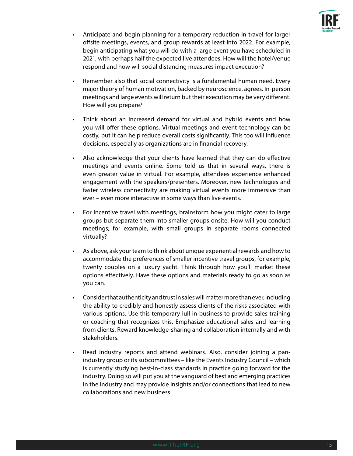

- Anticipate and begin planning for a temporary reduction in travel for larger offsite meetings, events, and group rewards at least into 2022. For example, begin anticipating what you will do with a large event you have scheduled in 2021, with perhaps half the expected live attendees. How will the hotel/venue respond and how will social distancing measures impact execution?
- Remember also that social connectivity is a fundamental human need. Every major theory of human motivation, backed by neuroscience, agrees. In-person meetings and large events will return but their execution may be very different. How will you prepare?
- Think about an increased demand for virtual and hybrid events and how you will offer these options. Virtual meetings and event technology can be costly, but it can help reduce overall costs significantly. This too will influence decisions, especially as organizations are in financial recovery.
- Also acknowledge that your clients have learned that they can do effective meetings and events online. Some told us that in several ways, there is even greater value in virtual. For example, attendees experience enhanced engagement with the speakers/presenters. Moreover, new technologies and faster wireless connectivity are making virtual events more immersive than ever – even more interactive in some ways than live events.
- For incentive travel with meetings, brainstorm how you might cater to large groups but separate them into smaller groups onsite. How will you conduct meetings; for example, with small groups in separate rooms connected virtually?
- As above, ask your team to think about unique experiential rewards and how to accommodate the preferences of smaller incentive travel groups, for example, twenty couples on a luxury yacht. Think through how you'll market these options effectively. Have these options and materials ready to go as soon as you can.
- Consider that authenticity and trust in sales will matter more than ever, including the ability to credibly and honestly assess clients of the risks associated with various options. Use this temporary lull in business to provide sales training or coaching that recognizes this. Emphasize educational sales and learning from clients. Reward knowledge-sharing and collaboration internally and with stakeholders.
- Read industry reports and attend webinars. Also, consider joining a panindustry group or its subcommittees – like the Events Industry Council – which is currently studying best-in-class standards in practice going forward for the industry. Doing so will put you at the vanguard of best and emerging practices in the industry and may provide insights and/or connections that lead to new collaborations and new business.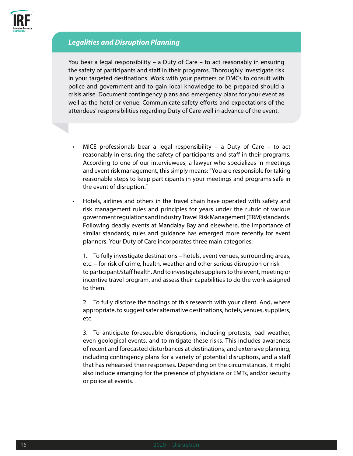

# *Legalities and Disruption Planning*

You bear a legal responsibility – a Duty of Care – to act reasonably in ensuring the safety of participants and staff in their programs. Thoroughly investigate risk in your targeted destinations. Work with your partners or DMCs to consult with police and government and to gain local knowledge to be prepared should a crisis arise. Document contingency plans and emergency plans for your event as well as the hotel or venue. Communicate safety efforts and expectations of the attendees' responsibilities regarding Duty of Care well in advance of the event.

- MICE professionals bear a legal responsibility a Duty of Care to act reasonably in ensuring the safety of participants and staff in their programs. According to one of our interviewees, a lawyer who specializes in meetings and event risk management, this simply means: "You are responsible for taking reasonable steps to keep participants in your meetings and programs safe in the event of disruption."
- Hotels, airlines and others in the travel chain have operated with safety and risk management rules and principles for years under the rubric of various government regulations and industry Travel Risk Management (TRM) standards. Following deadly events at Mandalay Bay and elsewhere, the importance of similar standards, rules and guidance has emerged more recently for event planners. Your Duty of Care incorporates three main categories:

1. To fully investigate destinations – hotels, event venues, surrounding areas, etc. – for risk of crime, health, weather and other serious disruption or risk to participant/staff health. And to investigate suppliers to the event, meeting or incentive travel program, and assess their capabilities to do the work assigned to them.

2. To fully disclose the findings of this research with your client. And, where appropriate, to suggest safer alternative destinations, hotels, venues, suppliers, etc.

3. To anticipate foreseeable disruptions, including protests, bad weather, even geological events, and to mitigate these risks. This includes awareness of recent and forecasted disturbances at destinations, and extensive planning, including contingency plans for a variety of potential disruptions, and a staff that has rehearsed their responses. Depending on the circumstances, it might also include arranging for the presence of physicians or EMTs, and/or security or police at events.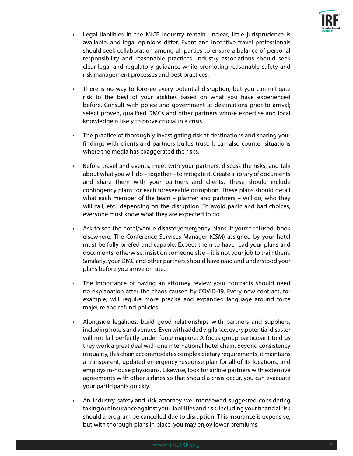

- Legal liabilities in the MICE industry remain unclear, little jurisprudence is available, and legal opinions differ. Event and incentive travel professionals should seek collaboration among all parties to ensure a balance of personal responsibility and reasonable practices. Industry associations should seek clear legal and regulatory guidance while promoting reasonable safety and risk management processes and best practices.
- There is no way to foresee every potential disruption, but you can mitigate risk to the best of your abilities based on what you have experienced before. Consult with police and government at destinations prior to arrival; select proven, qualified DMCs and other partners whose expertise and local knowledge is likely to prove crucial in a crisis.
- The practice of thoroughly investigating risk at destinations and sharing your findings with clients and partners builds trust. It can also counter situations where the media has exaggerated the risks.
- Before travel and events, meet with your partners, discuss the risks, and talk about what you will do – together – to mitigate it. Create a library of documents and share them with your partners and clients. These should include contingency plans for each foreseeable disruption. These plans should detail what each member of the team – planner and partners – will do, who they will call, etc., depending on the disruption. To avoid panic and bad choices, everyone must know what they are expected to do.
- Ask to see the hotel/venue disaster/emergency plans. If you're refused, book elsewhere. The Conference Services Manager (CSM) assigned by your hotel must be fully briefed and capable. Expect them to have read your plans and documents, otherwise, insist on someone else – it is not your job to train them. Similarly, your DMC and other partners should have read and understood your plans before you arrive on site.
- The importance of having an attorney review your contracts should need no explanation after the chaos caused by COVID-19. Every new contract, for example, will require more precise and expanded language around force majeure and refund policies.
- Alongside legalities, build good relationships with partners and suppliers, including hotels and venues. Even with added vigilance, every potential disaster will not fall perfectly under force majeure. A focus group participant told us they work a great deal with one international hotel chain. Beyond consistency in quality, this chain accommodates complex dietary requirements, it maintains a transparent, updated emergency response plan for all of its locations, and employs in-house physicians. Likewise, look for airline partners with extensive agreements with other airlines so that should a crisis occur, you can evacuate your participants quickly.
- An industry safety and risk attorney we interviewed suggested considering taking out insurance against your liabilities and risk; including your financial risk should a program be cancelled due to disruption. This insurance is expensive, but with thorough plans in place, you may enjoy lower premiums.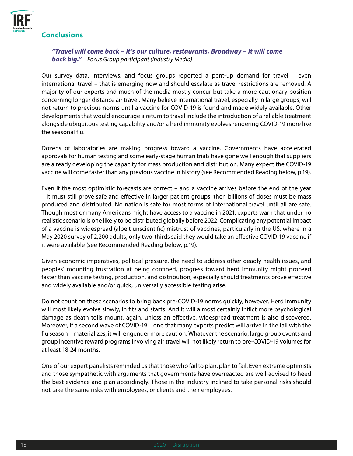

#### **Conclusions**

#### *"Travel will come back – it's our culture, restaurants, Broadway – it will come back big." – Focus Group participant (industry Media)*

Our survey data, interviews, and focus groups reported a pent-up demand for travel – even international travel – that is emerging now and should escalate as travel restrictions are removed. A majority of our experts and much of the media mostly concur but take a more cautionary position concerning longer distance air travel. Many believe international travel, especially in large groups, will not return to previous norms until a vaccine for COVID-19 is found and made widely available. Other developments that would encourage a return to travel include the introduction of a reliable treatment alongside ubiquitous testing capability and/or a herd immunity evolves rendering COVID-19 more like the seasonal flu.

Dozens of laboratories are making progress toward a vaccine. Governments have accelerated approvals for human testing and some early-stage human trials have gone well enough that suppliers are already developing the capacity for mass production and distribution. Many expect the COVID-19 vaccine will come faster than any previous vaccine in history (see Recommended Reading below, p.19).

Even if the most optimistic forecasts are correct – and a vaccine arrives before the end of the year – it must still prove safe and effective in larger patient groups, then billions of doses must be mass produced and distributed. No nation is safe for most forms of international travel until all are safe. Though most or many Americans might have access to a vaccine in 2021, experts warn that under no realistic scenario is one likely to be distributed globally before 2022. Complicating any potential impact of a vaccine is widespread (albeit unscientific) mistrust of vaccines, particularly in the US, where in a May 2020 survey of 2,200 adults, only two-thirds said they would take an effective COVID-19 vaccine if it were available (see Recommended Reading below, p.19).

Given economic imperatives, political pressure, the need to address other deadly health issues, and peoples' mounting frustration at being confined, progress toward herd immunity might proceed faster than vaccine testing, production, and distribution, especially should treatments prove effective and widely available and/or quick, universally accessible testing arise.

Do not count on these scenarios to bring back pre-COVID-19 norms quickly, however. Herd immunity will most likely evolve slowly, in fits and starts. And it will almost certainly inflict more psychological damage as death tolls mount, again, unless an effective, widespread treatment is also discovered. Moreover, if a second wave of COVID-19 – one that many experts predict will arrive in the fall with the flu season – materializes, it will engender more caution. Whatever the scenario, large group events and group incentive reward programs involving air travel will not likely return to pre-COVID-19 volumes for at least 18-24 months.

One of our expert panelists reminded us that those who fail to plan, plan to fail. Even extreme optimists and those sympathetic with arguments that governments have overreacted are well-advised to heed the best evidence and plan accordingly. Those in the industry inclined to take personal risks should not take the same risks with employees, or clients and their employees.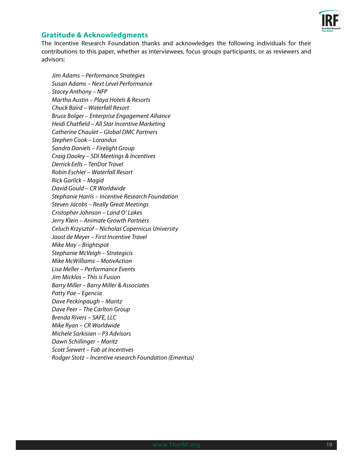

#### **Gratitude & Acknowledgments**

The Incentive Research Foundation thanks and acknowledges the following individuals for their contributions to this paper, whether as interviewees, focus groups participants, or as reviewers and advisors:

*Jim Adams – Performance Strategies Susan Adams – Next Level Performance Stacey Anthony – NFP Martha Austin – Playa Hotels & Resorts Chuck Baird – Waterfall Resort Bruce Bolger – Enterprise Engagement Alliance Heidi Chatfield – All Star Incentive Marketing Catherine Chaulet – Global DMC Partners Stephen Cook – Lorandus Sandra Daniels – Firelight Group Craig Dooley – SDI Meetings & Incentives Derrick Eells – TenDot Travel Robin Eschler – Waterfall Resort Rick Garlick – Magid David Gould – CR Worldwide Stephanie Harris – Incentive Research Foundation Steven Jacobs – Really Great Meetings Cristopher Johnson – Land O' Lakes Jerry Klein – Animate Growth Partners Celuch Krzysztof – Nicholas Copernicus University Joost de Meyer – First Incentive Travel Mike May – Brightspot Stephanie McVeigh – Strategicis Mike McWilliams – MotivAction Lisa Meller – Performance Events Jim Micklos – This is Fusion Barry Miller – Barry Miller & Associates Patty Pae – Egencia Dave Peckinpaugh – Maritz Dave Peer – The Carlton Group Brenda Rivers – SAFE, LLC Mike Ryan – CR Worldwide Michele Sarkisian – P3 Advisors Dawn Schillinger – Maritz Scott Siewert – Fab at Incentives Rodger Stotz – Incentive research Foundation (Emeritus)*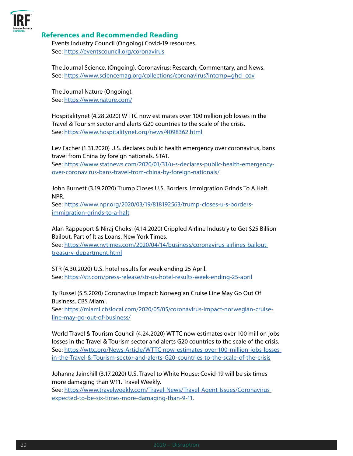

#### **References and Recommended Reading**

Events Industry Council (Ongoing) Covid-19 resources. See: <https://eventscouncil.org/coronavirus>

The Journal Science. (Ongoing). Coronavirus: Research, Commentary, and News. See: [https://www.sciencemag.org/collections/coronavirus?intcmp=ghd\\_cov](https://www.sciencemag.org/collections/coronavirus?intcmp=ghd_cov)

The Journal Nature (Ongoing). See: <https://www.nature.com/>

Hospitalitynet (4.28.2020) WTTC now estimates over 100 million job losses in the Travel & Tourism sector and alerts G20 countries to the scale of the crisis. See: <https://www.hospitalitynet.org/news/4098362.html>

Lev Facher (1.31.2020) U.S. declares public health emergency over coronavirus, bans travel from China by foreign nationals. STAT.

See: [https://www.statnews.com/2020/01/31/u-s-declares-public-health-emergency](https://www.statnews.com/2020/01/31/u-s-declares-public-health-emergency-over-coronavirus-bans-travel-from-china-by-foreign-nationals/)[over-coronavirus-bans-travel-from-china-by-foreign-nationals/](https://www.statnews.com/2020/01/31/u-s-declares-public-health-emergency-over-coronavirus-bans-travel-from-china-by-foreign-nationals/)

John Burnett (3.19.2020) Trump Closes U.S. Borders. Immigration Grinds To A Halt. NPR.

See: [https://www.npr.org/2020/03/19/818192563/trump-closes-u-s-borders](https://www.npr.org/2020/03/19/818192563/trump-closes-u-s-borders-immigration-grinds-to-a-halt)[immigration-grinds-to-a-halt](https://www.npr.org/2020/03/19/818192563/trump-closes-u-s-borders-immigration-grinds-to-a-halt)

Alan Rappeport & Niraj Choksi (4.14.2020) Crippled Airline Industry to Get \$25 Billion Bailout, Part of It as Loans. New York Times.

See: [https://www.nytimes.com/2020/04/14/business/coronavirus-airlines-bailout](https://www.nytimes.com/2020/04/14/business/coronavirus-airlines-bailout-treasury-department.html)[treasury-department.html](https://www.nytimes.com/2020/04/14/business/coronavirus-airlines-bailout-treasury-department.html)

STR (4.30.2020) U.S. hotel results for week ending 25 April. See: <https://str.com/press-release/str-us-hotel-results-week-ending-25-april>

Ty Russel (5.5.2020) Coronavirus Impact: Norwegian Cruise Line May Go Out Of Business. CBS Miami.

See: [https://miami.cbslocal.com/2020/05/05/coronavirus-impact-norwegian-cruise](https://miami.cbslocal.com/2020/05/05/coronavirus-impact-norwegian-cruise-line-may-go-out-of-business/)[line-may-go-out-of-business/](https://miami.cbslocal.com/2020/05/05/coronavirus-impact-norwegian-cruise-line-may-go-out-of-business/)

World Travel & Tourism Council (4.24.2020) WTTC now estimates over 100 million jobs losses in the Travel & Tourism sector and alerts G20 countries to the scale of the crisis. See: [https://wttc.org/News-Article/WTTC-now-estimates-over-100-million-jobs-losses](https://wttc.org/News-Article/WTTC-now-estimates-over-100-million-jobs-losses-in-the-Travel-&-Tourism-sector-and-alerts-G20-countries-to-the-scale-of-the-crisis)[in-the-Travel-&-Tourism-sector-and-alerts-G20-countries-to-the-scale-of-the-crisis](https://wttc.org/News-Article/WTTC-now-estimates-over-100-million-jobs-losses-in-the-Travel-&-Tourism-sector-and-alerts-G20-countries-to-the-scale-of-the-crisis)

Johanna Jainchill (3.17.2020) U.S. Travel to White House: Covid-19 will be six times more damaging than 9/11. Travel Weekly.

See: [https://www.travelweekly.com/Travel-News/Travel-Agent-Issues/Coronavirus](https://www.travelweekly.com/Travel-News/Travel-Agent-Issues/Coronavirus-expected-to-be-six-times-more-damaging-than-9-11.)[expected-to-be-six-times-more-damaging-than-9-11.](https://www.travelweekly.com/Travel-News/Travel-Agent-Issues/Coronavirus-expected-to-be-six-times-more-damaging-than-9-11.)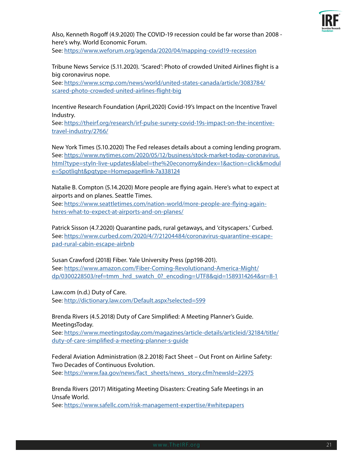

Also, Kenneth Rogoff (4.9.2020) The COVID-19 recession could be far worse than 2008 here's why. World Economic Forum.

See: <https://www.weforum.org/agenda/2020/04/mapping-covid19-recession>

Tribune News Service (5.11.2020). 'Scared': Photo of crowded United Airlines flight is a big coronavirus nope.

See: [https://www.scmp.com/news/world/united-states-canada/article/3083784/](https://www.scmp.com/news/world/united-states-canada/article/3083784/scared-photo-crowded-united-airlines-flight-big) [scared-photo-crowded-united-airlines-flight-big](https://www.scmp.com/news/world/united-states-canada/article/3083784/scared-photo-crowded-united-airlines-flight-big)

Incentive Research Foundation (April,2020) Covid-19's Impact on the Incentive Travel Industry.

See: [https://theirf.org/research/irf-pulse-survey-covid-19s-impact-on-the-incentive](https://theirf.org/research/irf-pulse-survey-covid-19s-impact-on-the-incentive-travel-industry/2766/)[travel-industry/2766/](https://theirf.org/research/irf-pulse-survey-covid-19s-impact-on-the-incentive-travel-industry/2766/)

New York Times (5.10.2020) The Fed releases details about a coming lending program. See: [https://www.nytimes.com/2020/05/12/business/stock-market-today-coronavirus.](https://www.nytimes.com/2020/05/12/business/stock-market-today-coronavirus.html?type=styln-live-updates&label=the%20economy&index=1&action=click&module=Spotlight&pgtype=Homepage#link-7a338124) [html?type=styln-live-updates&label=the%20economy&index=1&action=click&modul](https://www.nytimes.com/2020/05/12/business/stock-market-today-coronavirus.html?type=styln-live-updates&label=the%20economy&index=1&action=click&module=Spotlight&pgtype=Homepage#link-7a338124) [e=Spotlight&pgtype=Homepage#link-7a338124](https://www.nytimes.com/2020/05/12/business/stock-market-today-coronavirus.html?type=styln-live-updates&label=the%20economy&index=1&action=click&module=Spotlight&pgtype=Homepage#link-7a338124)

Natalie B. Compton (5.14.2020) More people are flying again. Here's what to expect at airports and on planes. Seattle Times.

See: [https://www.seattletimes.com/nation-world/more-people-are-flying-again](https://www.seattletimes.com/nation-world/more-people-are-flying-again-heres-what-to-expect-at-airports-and-on-planes/)[heres-what-to-expect-at-airports-and-on-planes/](https://www.seattletimes.com/nation-world/more-people-are-flying-again-heres-what-to-expect-at-airports-and-on-planes/)

Patrick Sisson (4.7.2020) Quarantine pads, rural getaways, and 'cityscapers.' Curbed. See: [https://www.curbed.com/2020/4/7/21204484/coronavirus-quarantine-escape](https://www.curbed.com/2020/4/7/21204484/coronavirus-quarantine-escape-pad-rural-cabin-escape-airbnb)[pad-rural-cabin-escape-airbnb](https://www.curbed.com/2020/4/7/21204484/coronavirus-quarantine-escape-pad-rural-cabin-escape-airbnb)

Susan Crawford (2018) Fiber. Yale University Press (pp198-201). See: [https://www.amazon.com/Fiber-Coming-Revolutionand-America-Might/](https://www.amazon.com/Fiber-Coming-Revolutionand-America-Might/dp/0300228503/ref=tmm_hrd_swatch_0?_encoding=UTF8&qid=1589314264&sr=8-1) [dp/0300228503/ref=tmm\\_hrd\\_swatch\\_0?\\_encoding=UTF8&qid=1589314264&sr=8-1](https://www.amazon.com/Fiber-Coming-Revolutionand-America-Might/dp/0300228503/ref=tmm_hrd_swatch_0?_encoding=UTF8&qid=1589314264&sr=8-1)

Law.com (n.d.) Duty of Care. See: <http://dictionary.law.com/Default.aspx?selected=599>

Brenda Rivers (4.5.2018) Duty of Care Simplified: A Meeting Planner's Guide. MeetingsToday.

See: [https://www.meetingstoday.com/magazines/article-details/articleid/32184/title/](https://www.meetingstoday.com/magazines/article-details/articleid/32184/title/duty-of-care-simplified-a-meeting-planner-s-guide) [duty-of-care-simplified-a-meeting-planner-s-guide](https://www.meetingstoday.com/magazines/article-details/articleid/32184/title/duty-of-care-simplified-a-meeting-planner-s-guide)

Federal Aviation Administration (8.2.2018) Fact Sheet – Out Front on Airline Safety: Two Decades of Continuous Evolution. See: [https://www.faa.gov/news/fact\\_sheets/news\\_story.cfm?newsId=22975](https://www.faa.gov/news/fact_sheets/news_story.cfm?newsId=22975)

Brenda Rivers (2017) Mitigating Meeting Disasters: Creating Safe Meetings in an Unsafe World.

See: <https://www.safellc.com/risk-management-expertise/#whitepapers>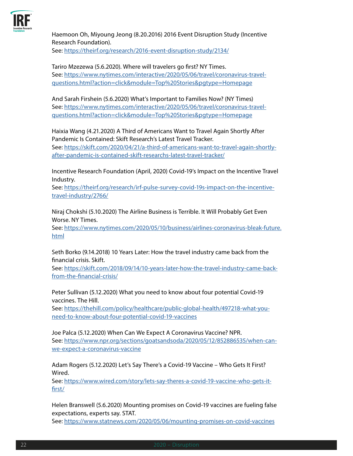

Haemoon Oh, Miyoung Jeong (8.20.2016) 2016 Event Disruption Study (Incentive Research Foundation).

See: <https://theirf.org/research/2016-event-disruption-study/2134/>

Tariro Mzezewa (5.6.2020). Where will travelers go first? NY Times. See: [https://www.nytimes.com/interactive/2020/05/06/travel/coronavirus-travel](https://www.nytimes.com/interactive/2020/05/06/travel/coronavirus-travel-questions.html?action=click&module=Top%20Stories&pgtype=Homepage)[questions.html?action=click&module=Top%20Stories&pgtype=Homepage](https://www.nytimes.com/interactive/2020/05/06/travel/coronavirus-travel-questions.html?action=click&module=Top%20Stories&pgtype=Homepage) 

And Sarah Firshein (5.6.2020) What's Important to Families Now? (NY Times) See: [https://www.nytimes.com/interactive/2020/05/06/travel/coronavirus-travel](https://www.nytimes.com/interactive/2020/05/06/travel/coronavirus-travel-questions.html?action=click&module=Top%20Stories&pgtype=Homepage)[questions.html?action=click&module=Top%20Stories&pgtype=Homepage](https://www.nytimes.com/interactive/2020/05/06/travel/coronavirus-travel-questions.html?action=click&module=Top%20Stories&pgtype=Homepage)

Haixia Wang (4.21.2020) A Third of Americans Want to Travel Again Shortly After Pandemic Is Contained: Skift Research's Latest Travel Tracker.

See: [https://skift.com/2020/04/21/a-third-of-americans-want-to-travel-again-shortly](https://skift.com/2020/04/21/a-third-of-americans-want-to-travel-again-shortly-after-pandemic-is-contained-skift-researchs-latest-travel-tracker/)[after-pandemic-is-contained-skift-researchs-latest-travel-tracker/](https://skift.com/2020/04/21/a-third-of-americans-want-to-travel-again-shortly-after-pandemic-is-contained-skift-researchs-latest-travel-tracker/)

Incentive Research Foundation (April, 2020) Covid-19's Impact on the Incentive Travel Industry.

See: [https://theirf.org/research/irf-pulse-survey-covid-19s-impact-on-the-incentive](https://theirf.org/research/irf-pulse-survey-covid-19s-impact-on-the-incentive-travel-industry/2766/)[travel-industry/2766/](https://theirf.org/research/irf-pulse-survey-covid-19s-impact-on-the-incentive-travel-industry/2766/)

Niraj Chokshi (5.10.2020) The Airline Business is Terrible. It Will Probably Get Even Worse. NY Times.

See: [https://www.nytimes.com/2020/05/10/business/airlines-coronavirus-bleak-future.](https://www.nytimes.com/2020/05/10/business/airlines-coronavirus-bleak-future.html) [html](https://www.nytimes.com/2020/05/10/business/airlines-coronavirus-bleak-future.html)

Seth Borko (9.14.2018) 10 Years Later: How the travel industry came back from the financial crisis. Skift.

See: [https://skift.com/2018/09/14/10-years-later-how-the-travel-industry-came-back](https://skift.com/2018/09/14/10-years-later-how-the-travel-industry-came-back-from-the-financial-crisis/)[from-the-financial-crisis/](https://skift.com/2018/09/14/10-years-later-how-the-travel-industry-came-back-from-the-financial-crisis/)

Peter Sullivan (5.12.2020) What you need to know about four potential Covid-19 vaccines. The Hill.

See: [https://thehill.com/policy/healthcare/public-global-health/497218-what-you](https://thehill.com/policy/healthcare/public-global-health/497218-what-you-need-to-know-about-four-potential-covid-19-vaccines)[need-to-know-about-four-potential-covid-19-vaccines](https://thehill.com/policy/healthcare/public-global-health/497218-what-you-need-to-know-about-four-potential-covid-19-vaccines)

Joe Palca (5.12.2020) When Can We Expect A Coronavirus Vaccine? NPR. See: [https://www.npr.org/sections/goatsandsoda/2020/05/12/852886535/when-can](https://www.npr.org/sections/goatsandsoda/2020/05/12/852886535/when-can-we-expect-a-coronavirus-vaccine)[we-expect-a-coronavirus-vaccine](https://www.npr.org/sections/goatsandsoda/2020/05/12/852886535/when-can-we-expect-a-coronavirus-vaccine)

Adam Rogers (5.12.2020) Let's Say There's a Covid-19 Vaccine – Who Gets It First? Wired.

See: [https://www.wired.com/story/lets-say-theres-a-covid-19-vaccine-who-gets-it](https://www.wired.com/story/lets-say-theres-a-covid-19-vaccine-who-gets-it-first/)[first/](https://www.wired.com/story/lets-say-theres-a-covid-19-vaccine-who-gets-it-first/)

Helen Branswell (5.6.2020) Mounting promises on Covid-19 vaccines are fueling false expectations, experts say. STAT.

See: <https://www.statnews.com/2020/05/06/mounting-promises-on-covid-vaccines>